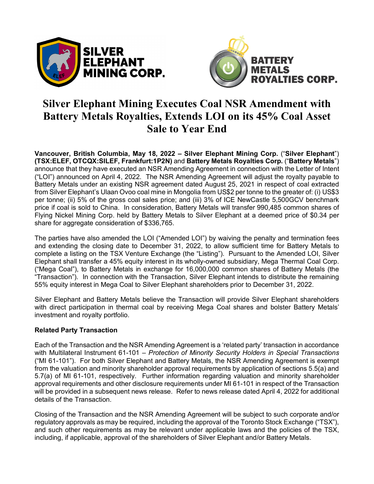



# **Silver Elephant Mining Executes Coal NSR Amendment with Battery Metals Royalties, Extends LOI on its 45% Coal Asset Sale to Year End**

**Vancouver, British Columbia, May 18, 2022 – Silver Elephant Mining Corp.** ("**Silver Elephant**") **(TSX:ELEF, OTCQX:SILEF, Frankfurt:1P2N)** and **Battery Metals Royalties Corp.** ("**Battery Metals**") announce that they have executed an NSR Amending Agreement in connection with the Letter of Intent ("LOI") announced on April 4, 2022. The NSR Amending Agreement will adjust the royalty payable to Battery Metals under an existing NSR agreement dated August 25, 2021 in respect of coal extracted from Silver Elephant's Ulaan Ovoo coal mine in Mongolia from US\$2 per tonne to the greater of: (i) US\$3 per tonne; (ii) 5% of the gross coal sales price; and (iii) 3% of ICE NewCastle 5,500GCV benchmark price if coal is sold to China. In consideration, Battery Metals will transfer 990,485 common shares of Flying Nickel Mining Corp. held by Battery Metals to Silver Elephant at a deemed price of \$0.34 per share for aggregate consideration of \$336,765.

The parties have also amended the LOI ("Amended LOI") by waiving the penalty and termination fees and extending the closing date to December 31, 2022, to allow sufficient time for Battery Metals to complete a listing on the TSX Venture Exchange (the "Listing"). Pursuant to the Amended LOI, Silver Elephant shall transfer a 45% equity interest in its wholly-owned subsidiary, Mega Thermal Coal Corp. ("Mega Coal"), to Battery Metals in exchange for 16,000,000 common shares of Battery Metals (the "Transaction"). In connection with the Transaction, Silver Elephant intends to distribute the remaining 55% equity interest in Mega Coal to Silver Elephant shareholders prior to December 31, 2022.

Silver Elephant and Battery Metals believe the Transaction will provide Silver Elephant shareholders with direct participation in thermal coal by receiving Mega Coal shares and bolster Battery Metals' investment and royalty portfolio.

## **Related Party Transaction**

Each of the Transaction and the NSR Amending Agreement is a 'related party' transaction in accordance with Multilateral Instrument 61-101 – *Protection of Minority Security Holders in Special Transactions* ("MI 61-101"). For both Silver Elephant and Battery Metals, the NSR Amending Agreement is exempt from the valuation and minority shareholder approval requirements by application of sections 5.5(a) and 5.7(a) of MI 61-101, respectively. Further information regarding valuation and minority shareholder approval requirements and other disclosure requirements under MI 61-101 in respect of the Transaction will be provided in a subsequent news release. Refer to news release dated April 4, 2022 for additional details of the Transaction.

Closing of the Transaction and the NSR Amending Agreement will be subject to such corporate and/or regulatory approvals as may be required, including the approval of the Toronto Stock Exchange ("TSX"), and such other requirements as may be relevant under applicable laws and the policies of the TSX, including, if applicable, approval of the shareholders of Silver Elephant and/or Battery Metals.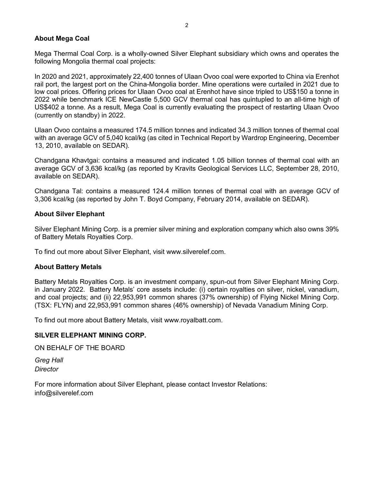### **About Mega Coal**

Mega Thermal Coal Corp. is a wholly-owned Silver Elephant subsidiary which owns and operates the following Mongolia thermal coal projects:

In 2020 and 2021, approximately 22,400 tonnes of Ulaan Ovoo coal were exported to China via Erenhot rail port, the largest port on the China-Mongolia border. Mine operations were curtailed in 2021 due to low coal prices. Offering prices for Ulaan Ovoo coal at Erenhot have since tripled to US\$150 a tonne in 2022 while benchmark ICE NewCastle 5,500 GCV thermal coal has quintupled to an all-time high of US\$402 a tonne. As a result, Mega Coal is currently evaluating the prospect of restarting Ulaan Ovoo (currently on standby) in 2022.

Ulaan Ovoo contains a measured 174.5 million tonnes and indicated 34.3 million tonnes of thermal coal with an average GCV of 5,040 kcal/kg (as cited in Technical Report by Wardrop Engineering, December 13, 2010, available on SEDAR).

Chandgana Khavtgai: contains a measured and indicated 1.05 billion tonnes of thermal coal with an average GCV of 3,636 kcal/kg (as reported by Kravits Geological Services LLC, September 28, 2010, available on SEDAR).

Chandgana Tal: contains a measured 124.4 million tonnes of thermal coal with an average GCV of 3,306 kcal/kg (as reported by John T. Boyd Company, February 2014, available on SEDAR).

#### **About Silver Elephant**

Silver Elephant Mining Corp. is a premier silver mining and exploration company which also owns 39% of Battery Metals Royalties Corp.

To find out more about Silver Elephant, visit www.silverelef.com.

#### **About Battery Metals**

Battery Metals Royalties Corp. is an investment company, spun-out from Silver Elephant Mining Corp. in January 2022. Battery Metals' core assets include: (i) certain royalties on silver, nickel, vanadium, and coal projects; and (ii) 22,953,991 common shares (37% ownership) of Flying Nickel Mining Corp. (TSX: FLYN) and 22,953,991 common shares (46% ownership) of Nevada Vanadium Mining Corp.

To find out more about Battery Metals, visit www.royalbatt.com.

#### **SILVER ELEPHANT MINING CORP.**

ON BEHALF OF THE BOARD

*Greg Hall Director*

For more information about Silver Elephant, please contact Investor Relations: info@silverelef.com